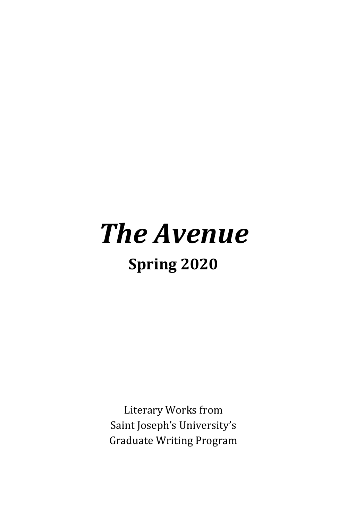## <span id="page-0-0"></span>*The Avenue* **Spring 2020**

Literary Works from Saint Joseph's University's Graduate Writing Program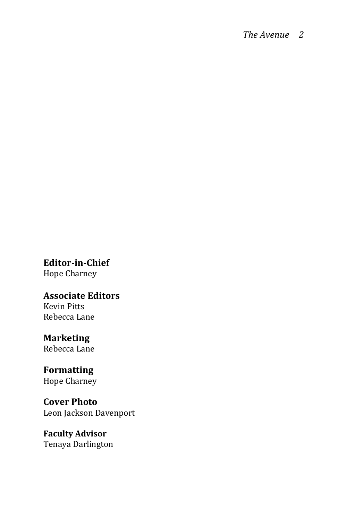**Editor-in-Chief** Hope Charney

**Associate Editors**  Kevin Pitts Rebecca Lane

**Marketing** Rebecca Lane

**Formatting**  Hope Charney

**Cover Photo** Leon Jackson Davenport

**Faculty Advisor** Tenaya Darlington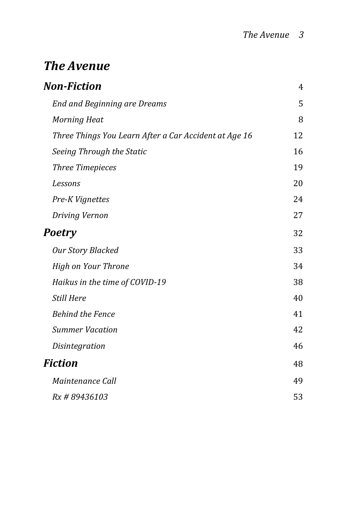### **[The Avenue](#page-0-0)**

| Non-Fiction                                           | 4  |
|-------------------------------------------------------|----|
| <b>End and Beginning are Dreams</b>                   | 5  |
| <b>Morning Heat</b>                                   | 8  |
| Three Things You Learn After a Car Accident at Age 16 | 12 |
| Seeing Through the Static                             | 16 |
| <b>Three Timepieces</b>                               | 19 |
| Lessons                                               | 20 |
| Pre-K Vignettes                                       | 24 |
| Driving Vernon                                        | 27 |
| Poetry                                                | 32 |
| <b>Our Story Blacked</b>                              | 33 |
| <b>High on Your Throne</b>                            | 34 |
| Haikus in the time of COVID-19                        | 38 |
| <b>Still Here</b>                                     | 40 |
| <b>Behind the Fence</b>                               | 41 |
| <b>Summer Vacation</b>                                | 42 |
| Disintegration                                        | 46 |
| Fiction                                               | 48 |
| Maintenance Call                                      | 49 |
| Rx #89436103                                          | 53 |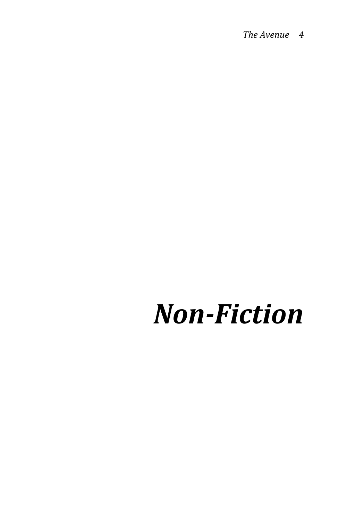# <span id="page-3-0"></span>*Non-Fiction*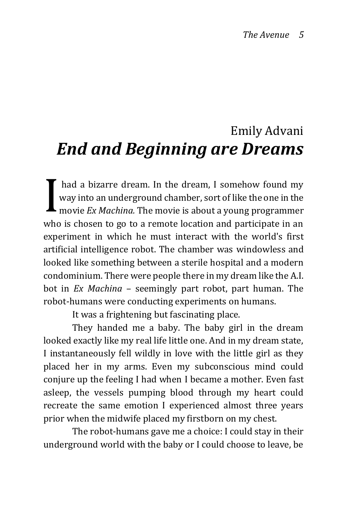### <span id="page-4-0"></span>Emily Advani *End and Beginning are Dreams*

had a bizarre dream. In the dream, I somehow found my way into an underground chamber, sort of like the one in the movie *Ex Machina.* The movie is about a young programmer who is chosen to go to a remote location and participate in an experiment in which he must interact with the world's first artificial intelligence robot. The chamber was windowless and looked like something between a sterile hospital and a modern condominium. There were people there in my dream like the A.I. bot in *Ex Machina* – seemingly part robot, part human. The robot-humans were conducting experiments on humans. I

It was a frightening but fascinating place.

They handed me a baby. The baby girl in the dream looked exactly like my real life little one. And in my dream state, I instantaneously fell wildly in love with the little girl as they placed her in my arms. Even my subconscious mind could conjure up the feeling I had when I became a mother. Even fast asleep, the vessels pumping blood through my heart could recreate the same emotion I experienced almost three years prior when the midwife placed my firstborn on my chest.

The robot-humans gave me a choice: I could stay in their underground world with the baby or I could choose to leave, be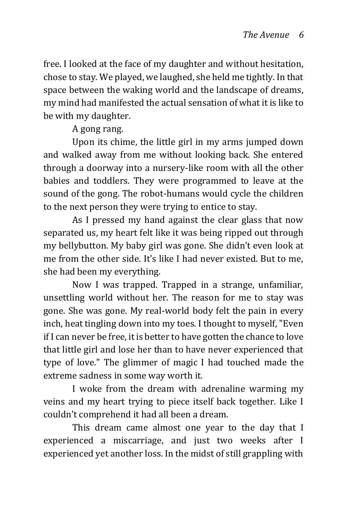free. I looked at the face of my daughter and without hesitation, chose to stay. We played, we laughed, she held me tightly. In that space between the waking world and the landscape of dreams, my mind had manifested the actual sensation of what it is like to be with my daughter.

#### A gong rang.

Upon its chime, the little girl in my arms jumped down and walked away from me without looking back. She entered through a doorway into a nursery-like room with all the other babies and toddlers. They were programmed to leave at the sound of the gong. The robot-humans would cycle the children to the next person they were trying to entice to stay.

As I pressed my hand against the clear glass that now separated us, my heart felt like it was being ripped out through my bellybutton. My baby girl was gone. She didn't even look at me from the other side. It's like I had never existed. But to me, she had been my everything.

Now I was trapped. Trapped in a strange, unfamiliar, unsettling world without her. The reason for me to stay was gone. She was gone. My real-world body felt the pain in every inch, heat tingling down into my toes. I thought to myself, "Even if I can never be free, it is better to have gotten the chance to love that little girl and lose her than to have never experienced that type of love." The glimmer of magic I had touched made the extreme sadness in some way worth it.

I woke from the dream with adrenaline warming my veins and my heart trying to piece itself back together. Like I couldn't comprehend it had all been a dream.

This dream came almost one year to the day that I experienced a miscarriage, and just two weeks after I experienced yet another loss. In the midst of still grappling with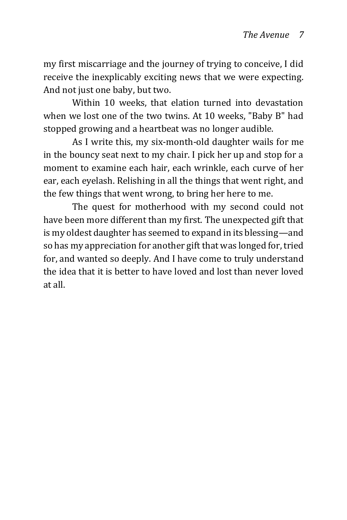my first miscarriage and the journey of trying to conceive, I did receive the inexplicably exciting news that we were expecting. And not just one baby, but two.

Within 10 weeks, that elation turned into devastation when we lost one of the two twins. At 10 weeks, "Baby B" had stopped growing and a heartbeat was no longer audible.

As I write this, my six-month-old daughter wails for me in the bouncy seat next to my chair. I pick her up and stop for a moment to examine each hair, each wrinkle, each curve of her ear, each eyelash. Relishing in all the things that went right, and the few things that went wrong, to bring her here to me.

The quest for motherhood with my second could not have been more different than my first. The unexpected gift that is my oldest daughter has seemed to expand in its blessing—and so has my appreciation for another gift that was longed for, tried for, and wanted so deeply. And I have come to truly understand the idea that it is better to have loved and lost than never loved at all.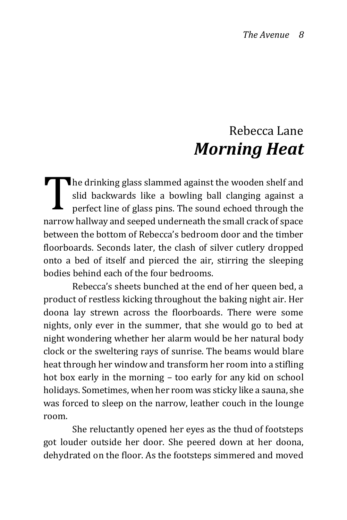### Rebecca Lane *Morning Heat*

<span id="page-7-0"></span> $\blacksquare$  he drinking glass slammed against the wooden shelf and slid backwards like a bowling ball clanging against a perfect line of glass pins. The sound echoed through the narrow hallway and seeped underneath the small crack of space between the bottom of Rebecca's bedroom door and the timber floorboards. Seconds later, the clash of silver cutlery dropped onto a bed of itself and pierced the air, stirring the sleeping bodies behind each of the four bedrooms. T

 Rebecca's sheets bunched at the end of her queen bed, a product of restless kicking throughout the baking night air. Her doona lay strewn across the floorboards. There were some nights, only ever in the summer, that she would go to bed at night wondering whether her alarm would be her natural body clock or the sweltering rays of sunrise. The beams would blare heat through her window and transform her room into a stifling hot box early in the morning – too early for any kid on school holidays. Sometimes, when her room was sticky like a sauna, she was forced to sleep on the narrow, leather couch in the lounge room.

She reluctantly opened her eyes as the thud of footsteps got louder outside her door. She peered down at her doona, dehydrated on the floor. As the footsteps simmered and moved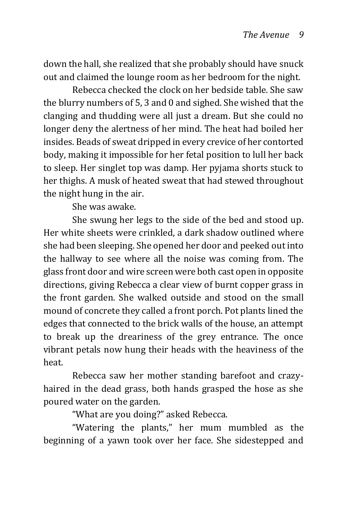down the hall, she realized that she probably should have snuck out and claimed the lounge room as her bedroom for the night.

 Rebecca checked the clock on her bedside table. She saw the blurry numbers of 5, 3 and 0 and sighed. She wished that the clanging and thudding were all just a dream. But she could no longer deny the alertness of her mind. The heat had boiled her insides. Beads of sweat dripped in every crevice of her contorted body, making it impossible for her fetal position to lull her back to sleep. Her singlet top was damp. Her pyjama shorts stuck to her thighs. A musk of heated sweat that had stewed throughout the night hung in the air.

She was awake.

She swung her legs to the side of the bed and stood up. Her white sheets were crinkled, a dark shadow outlined where she had been sleeping. She opened her door and peeked out into the hallway to see where all the noise was coming from. The glass front door and wire screen were both cast open in opposite directions, giving Rebecca a clear view of burnt copper grass in the front garden. She walked outside and stood on the small mound of concrete they called a front porch. Pot plants lined the edges that connected to the brick walls of the house, an attempt to break up the dreariness of the grey entrance. The once vibrant petals now hung their heads with the heaviness of the heat.

Rebecca saw her mother standing barefoot and crazyhaired in the dead grass, both hands grasped the hose as she poured water on the garden.

"What are you doing?" asked Rebecca.

 "Watering the plants," her mum mumbled as the beginning of a yawn took over her face. She sidestepped and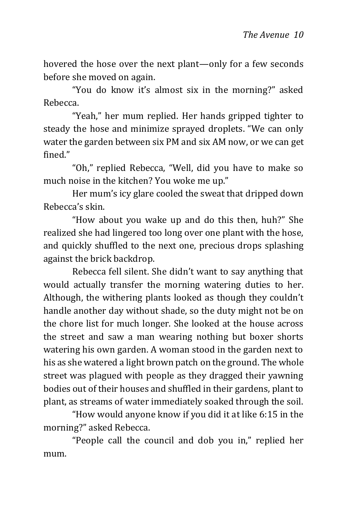hovered the hose over the next plant—only for a few seconds before she moved on again.

 "You do know it's almost six in the morning?" asked Rebecca.

 "Yeah," her mum replied. Her hands gripped tighter to steady the hose and minimize sprayed droplets. "We can only water the garden between six PM and six AM now, or we can get fined."

 "Oh," replied Rebecca, "Well, did you have to make so much noise in the kitchen? You woke me up."

 Her mum's icy glare cooled the sweat that dripped down Rebecca's skin.

"How about you wake up and do this then, huh?" She realized she had lingered too long over one plant with the hose, and quickly shuffled to the next one, precious drops splashing against the brick backdrop.

 Rebecca fell silent. She didn't want to say anything that would actually transfer the morning watering duties to her. Although, the withering plants looked as though they couldn't handle another day without shade, so the duty might not be on the chore list for much longer. She looked at the house across the street and saw a man wearing nothing but boxer shorts watering his own garden. A woman stood in the garden next to his as she watered a light brown patch on the ground. The whole street was plagued with people as they dragged their yawning bodies out of their houses and shuffled in their gardens, plant to plant, as streams of water immediately soaked through the soil.

"How would anyone know if you did it at like 6:15 in the morning?" asked Rebecca.

 "People call the council and dob you in," replied her mum.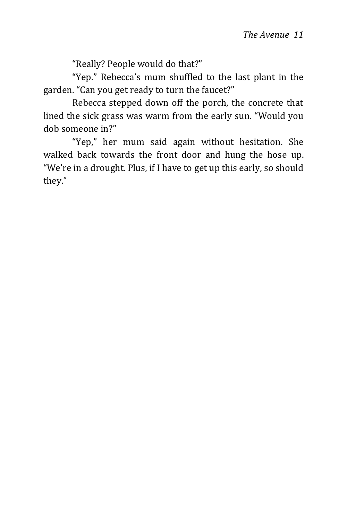"Really? People would do that?"

 "Yep." Rebecca's mum shuffled to the last plant in the garden. "Can you get ready to turn the faucet?"

 Rebecca stepped down off the porch, the concrete that lined the sick grass was warm from the early sun. "Would you dob someone in?"

"Yep," her mum said again without hesitation. She walked back towards the front door and hung the hose up. "We're in a drought. Plus, if I have to get up this early, so should they."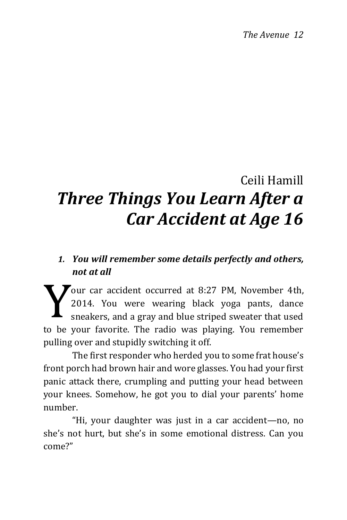## <span id="page-11-0"></span>Ceili Hamill *Three Things You Learn After a Car Accident at Age 16*

#### *1. You will remember some details perfectly and others, not at all*

 $\blacktriangledown$ our car accident occurred at 8:27 PM, November 4th, 2014. You were wearing black yoga pants, dance sneakers, and a gray and blue striped sweater that used to be your favorite. The radio was playing. You remember pulling over and stupidly switching it off. Y

The first responder who herded you to some frat house's front porch had brown hair and wore glasses. You had your first panic attack there, crumpling and putting your head between your knees. Somehow, he got you to dial your parents' home number.

"Hi, your daughter was just in a car accident—no, no she's not hurt, but she's in some emotional distress. Can you come?"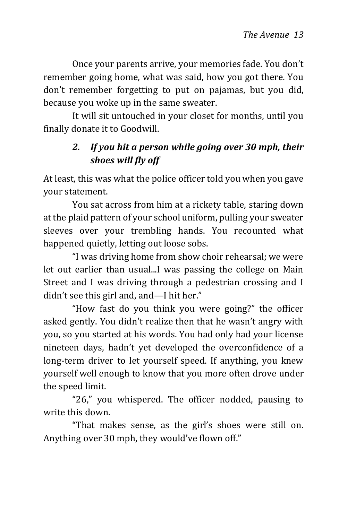Once your parents arrive, your memories fade. You don't remember going home, what was said, how you got there. You don't remember forgetting to put on pajamas, but you did, because you woke up in the same sweater.

It will sit untouched in your closet for months, until you finally donate it to Goodwill.

#### *2. If you hit a person while going over 30 mph, their shoes will fly off*

At least, this was what the police officer told you when you gave your statement.

You sat across from him at a rickety table, staring down at the plaid pattern of your school uniform, pulling your sweater sleeves over your trembling hands. You recounted what happened quietly, letting out loose sobs.

"I was driving home from show choir rehearsal; we were let out earlier than usual...I was passing the college on Main Street and I was driving through a pedestrian crossing and I didn't see this girl and, and—I hit her."

"How fast do you think you were going?" the officer asked gently. You didn't realize then that he wasn't angry with you, so you started at his words. You had only had your license nineteen days, hadn't yet developed the overconfidence of a long-term driver to let yourself speed. If anything, you knew yourself well enough to know that you more often drove under the speed limit.

"26," you whispered. The officer nodded, pausing to write this down.

"That makes sense, as the girl's shoes were still on. Anything over 30 mph, they would've flown off."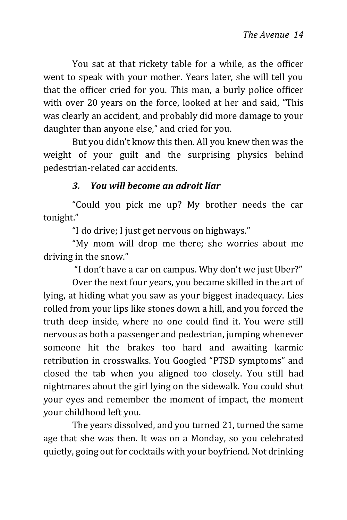You sat at that rickety table for a while, as the officer went to speak with your mother. Years later, she will tell you that the officer cried for you. This man, a burly police officer with over 20 years on the force, looked at her and said, "This was clearly an accident, and probably did more damage to your daughter than anyone else," and cried for you.

But you didn't know this then. All you knew then was the weight of your guilt and the surprising physics behind pedestrian-related car accidents.

#### *3. You will become an adroit liar*

"Could you pick me up? My brother needs the car tonight."

"I do drive; I just get nervous on highways."

"My mom will drop me there; she worries about me driving in the snow."

"I don't have a car on campus. Why don't we just Uber?"

Over the next four years, you became skilled in the art of lying, at hiding what you saw as your biggest inadequacy. Lies rolled from your lips like stones down a hill, and you forced the truth deep inside, where no one could find it. You were still nervous as both a passenger and pedestrian, jumping whenever someone hit the brakes too hard and awaiting karmic retribution in crosswalks. You Googled "PTSD symptoms" and closed the tab when you aligned too closely. You still had nightmares about the girl lying on the sidewalk. You could shut your eyes and remember the moment of impact, the moment your childhood left you.

The years dissolved, and you turned 21, turned the same age that she was then. It was on a Monday, so you celebrated quietly, going out for cocktails with your boyfriend. Not drinking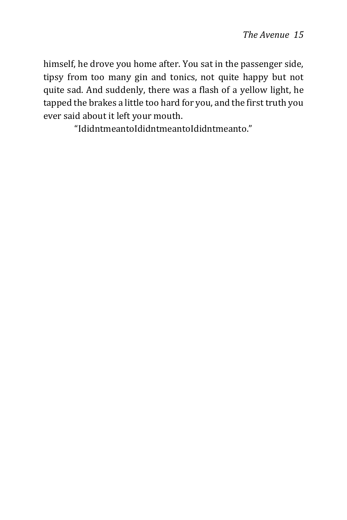himself, he drove you home after. You sat in the passenger side, tipsy from too many gin and tonics, not quite happy but not quite sad. And suddenly, there was a flash of a yellow light, he tapped the brakes a little too hard for you, and the first truth you ever said about it left your mouth.

"IdidntmeantoIdidntmeantoIdidntmeanto."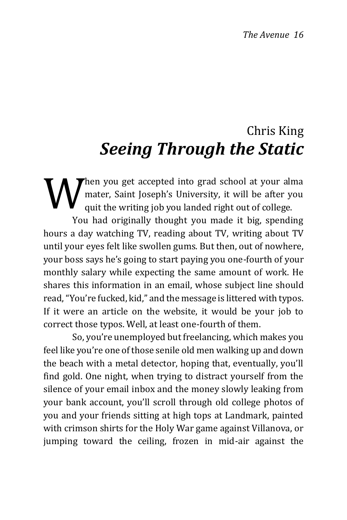### Chris King *Seeing Through the Static*

**M** hen you get accepted into grad school at your alma<br>
mater, Saint Joseph's University, it will be after you<br>
quit the writing job you landed right out of college. mater, Saint Joseph's University, it will be after you quit the writing job you landed right out of college. You had originally thought you made it big, spending

hours a day watching TV, reading about TV, writing about TV until your eyes felt like swollen gums. But then, out of nowhere, your boss says he's going to start paying you one-fourth of your monthly salary while expecting the same amount of work. He shares this information in an email, whose subject line should read, "You're fucked, kid," and the message is littered with typos. If it were an article on the website, it would be your job to correct those typos. Well, at least one-fourth of them.

So, you're unemployed but freelancing, which makes you feel like you're one of those senile old men walking up and down the beach with a metal detector, hoping that, eventually, you'll find gold. One night, when trying to distract yourself from the silence of your email inbox and the money slowly leaking from your bank account, you'll scroll through old college photos of you and your friends sitting at high tops at Landmark, painted with crimson shirts for the Holy War game against Villanova, or jumping toward the ceiling, frozen in mid-air against the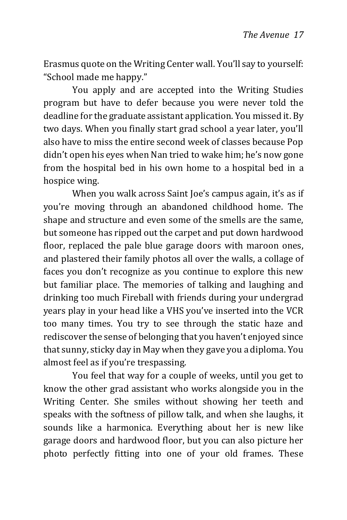Erasmus quote on the Writing Center wall. You'll say to yourself: "School made me happy."

You apply and are accepted into the Writing Studies program but have to defer because you were never told the deadline for the graduate assistant application. You missed it. By two days. When you finally start grad school a year later, you'll also have to miss the entire second week of classes because Pop didn't open his eyes when Nan tried to wake him; he's now gone from the hospital bed in his own home to a hospital bed in a hospice wing.

When you walk across Saint Joe's campus again, it's as if you're moving through an abandoned childhood home. The shape and structure and even some of the smells are the same, but someone has ripped out the carpet and put down hardwood floor, replaced the pale blue garage doors with maroon ones, and plastered their family photos all over the walls, a collage of faces you don't recognize as you continue to explore this new but familiar place. The memories of talking and laughing and drinking too much Fireball with friends during your undergrad years play in your head like a VHS you've inserted into the VCR too many times. You try to see through the static haze and rediscover the sense of belonging that you haven't enjoyed since that sunny, sticky day in May when they gave you a diploma. You almost feel as if you're trespassing.

You feel that way for a couple of weeks, until you get to know the other grad assistant who works alongside you in the Writing Center. She smiles without showing her teeth and speaks with the softness of pillow talk, and when she laughs, it sounds like a harmonica. Everything about her is new like garage doors and hardwood floor, but you can also picture her photo perfectly fitting into one of your old frames. These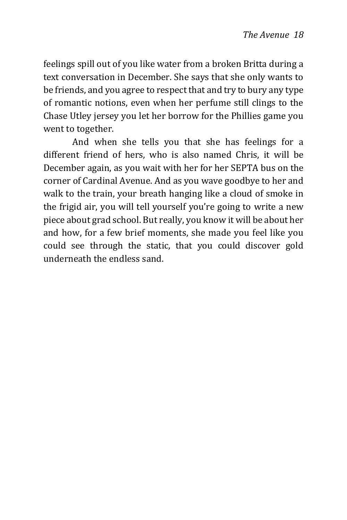feelings spill out of you like water from a broken Britta during a text conversation in December. She says that she only wants to be friends, and you agree to respect that and try to bury any type of romantic notions, even when her perfume still clings to the Chase Utley jersey you let her borrow for the Phillies game you went to together.

And when she tells you that she has feelings for a different friend of hers, who is also named Chris, it will be December again, as you wait with her for her SEPTA bus on the corner of Cardinal Avenue. And as you wave goodbye to her and walk to the train, your breath hanging like a cloud of smoke in the frigid air, you will tell yourself you're going to write a new piece about grad school. But really, you know it will be about her and how, for a few brief moments, she made you feel like you could see through the static, that you could discover gold underneath the endless sand.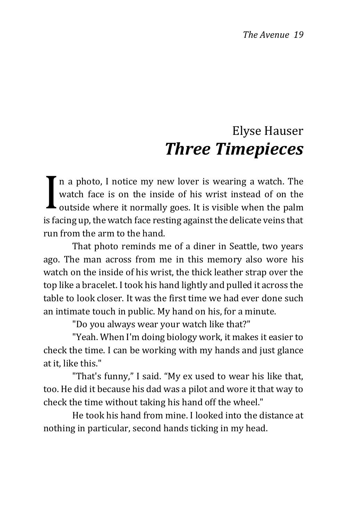### Elyse Hauser *Three Timepieces*

<span id="page-18-0"></span>n a photo, I notice my new lover is wearing a watch. The watch face is on the inside of his wrist instead of on the outside where it normally goes. It is visible when the palm is facing up, the watch face resting against the delicate veins that run from the arm to the hand. I

That photo reminds me of a diner in Seattle, two years ago. The man across from me in this memory also wore his watch on the inside of his wrist, the thick leather strap over the top like a bracelet. I took his hand lightly and pulled it across the table to look closer. It was the first time we had ever done such an intimate touch in public. My hand on his, for a minute.

"Do you always wear your watch like that?"

"Yeah. When I'm doing biology work, it makes it easier to check the time. I can be working with my hands and just glance at it, like this."

"That's funny," I said. "My ex used to wear his like that, too. He did it because his dad was a pilot and wore it that way to check the time without taking his hand off the wheel."

He took his hand from mine. I looked into the distance at nothing in particular, second hands ticking in my head.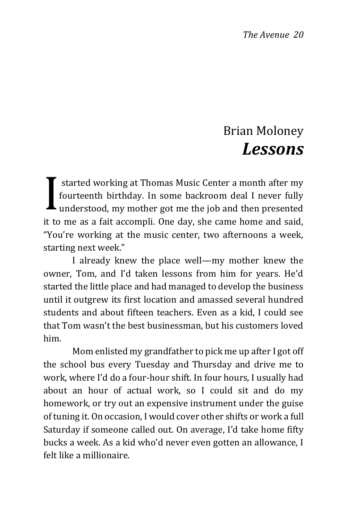### Brian Moloney *Lessons*

<span id="page-19-0"></span>started working at Thomas Music Center a month after my fourteenth birthday. In some backroom deal I never fully understood, my mother got me the job and then presented it to me as a fait accompli. One day, she came home and said, "You're working at the music center, two afternoons a week, starting next week." I

I already knew the place well—my mother knew the owner, Tom, and I'd taken lessons from him for years. He'd started the little place and had managed to develop the business until it outgrew its first location and amassed several hundred students and about fifteen teachers. Even as a kid, I could see that Tom wasn't the best businessman, but his customers loved him.

Mom enlisted my grandfather to pick me up after I got off the school bus every Tuesday and Thursday and drive me to work, where I'd do a four-hour shift. In four hours, I usually had about an hour of actual work, so I could sit and do my homework, or try out an expensive instrument under the guise of tuning it. On occasion, I would cover other shifts or work a full Saturday if someone called out. On average, I'd take home fifty bucks a week. As a kid who'd never even gotten an allowance, I felt like a millionaire.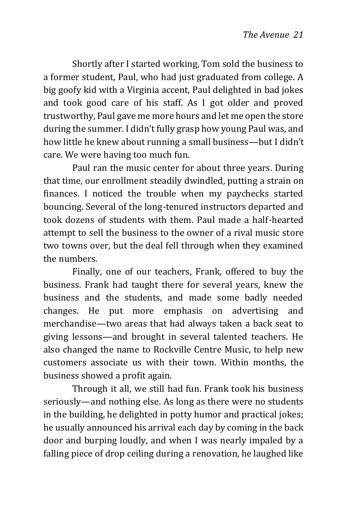Shortly after I started working, Tom sold the business to a former student, Paul, who had just graduated from college. A big goofy kid with a Virginia accent, Paul delighted in bad jokes and took good care of his staff. As I got older and proved trustworthy, Paul gave me more hours and let me open the store during the summer. I didn't fully grasp how young Paul was, and how little he knew about running a small business—but I didn't care. We were having too much fun.

Paul ran the music center for about three years. During that time, our enrollment steadily dwindled, putting a strain on finances. I noticed the trouble when my paychecks started bouncing. Several of the long-tenured instructors departed and took dozens of students with them. Paul made a half-hearted attempt to sell the business to the owner of a rival music store two towns over, but the deal fell through when they examined the numbers.

Finally, one of our teachers, Frank, offered to buy the business. Frank had taught there for several years, knew the business and the students, and made some badly needed changes. He put more emphasis on advertising and merchandise—two areas that had always taken a back seat to giving lessons—and brought in several talented teachers. He also changed the name to Rockville Centre Music, to help new customers associate us with their town. Within months, the business showed a profit again.

Through it all, we still had fun. Frank took his business seriously—and nothing else. As long as there were no students in the building, he delighted in potty humor and practical jokes; he usually announced his arrival each day by coming in the back door and burping loudly, and when I was nearly impaled by a falling piece of drop ceiling during a renovation, he laughed like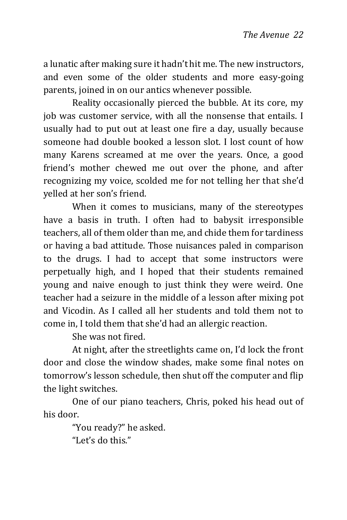a lunatic after making sure it hadn't hit me. The new instructors, and even some of the older students and more easy-going parents, joined in on our antics whenever possible.

Reality occasionally pierced the bubble. At its core, my job was customer service, with all the nonsense that entails. I usually had to put out at least one fire a day, usually because someone had double booked a lesson slot. I lost count of how many Karens screamed at me over the years. Once, a good friend's mother chewed me out over the phone, and after recognizing my voice, scolded me for not telling her that she'd yelled at her son's friend.

When it comes to musicians, many of the stereotypes have a basis in truth. I often had to babysit irresponsible teachers, all of them older than me, and chide them for tardiness or having a bad attitude. Those nuisances paled in comparison to the drugs. I had to accept that some instructors were perpetually high, and I hoped that their students remained young and naive enough to just think they were weird. One teacher had a seizure in the middle of a lesson after mixing pot and Vicodin. As I called all her students and told them not to come in, I told them that she'd had an allergic reaction.

She was not fired.

At night, after the streetlights came on, I'd lock the front door and close the window shades, make some final notes on tomorrow's lesson schedule, then shut off the computer and flip the light switches.

One of our piano teachers, Chris, poked his head out of his door.

> "You ready?" he asked. "Let's do this."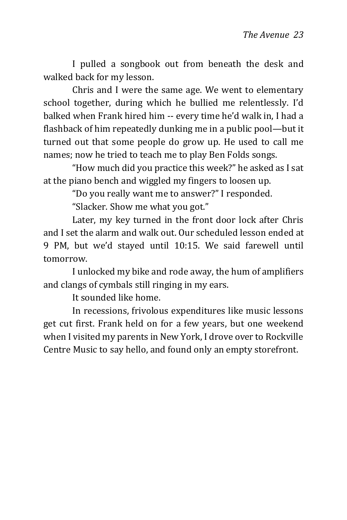I pulled a songbook out from beneath the desk and walked back for my lesson.

Chris and I were the same age. We went to elementary school together, during which he bullied me relentlessly. I'd balked when Frank hired him -- every time he'd walk in, I had a flashback of him repeatedly dunking me in a public pool—but it turned out that some people do grow up. He used to call me names; now he tried to teach me to play Ben Folds songs.

"How much did you practice this week?" he asked as I sat at the piano bench and wiggled my fingers to loosen up.

"Do you really want me to answer?" I responded.

"Slacker. Show me what you got."

Later, my key turned in the front door lock after Chris and I set the alarm and walk out. Our scheduled lesson ended at 9 PM, but we'd stayed until 10:15. We said farewell until tomorrow.

I unlocked my bike and rode away, the hum of amplifiers and clangs of cymbals still ringing in my ears.

It sounded like home.

In recessions, frivolous expenditures like music lessons get cut first. Frank held on for a few years, but one weekend when I visited my parents in New York, I drove over to Rockville Centre Music to say hello, and found only an empty storefront.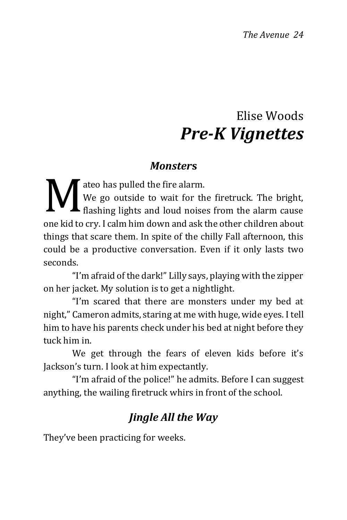### Elise Woods *Pre-K Vignettes*

#### *Monster***s**

<span id="page-23-0"></span>ateo has pulled the fire alarm. We go outside to wait for the firetruck. The bright, We go outside to wait for the firetruck. The bright,<br>flashing lights and loud noises from the alarm cause one kid to cry. I calm him down and ask the other children about things that scare them. In spite of the chilly Fall afternoon, this could be a productive conversation. Even if it only lasts two seconds.

"I'm afraid of the dark!" Lilly says, playing with the zipper on her jacket. My solution is to get a nightlight.

"I'm scared that there are monsters under my bed at night," Cameron admits, staring at me with huge, wide eyes. I tell him to have his parents check under his bed at night before they tuck him in.

We get through the fears of eleven kids before it's Jackson's turn. I look at him expectantly.

"I'm afraid of the police!" he admits. Before I can suggest anything, the wailing firetruck whirs in front of the school.

### *Jingle All the Way*

They've been practicing for weeks.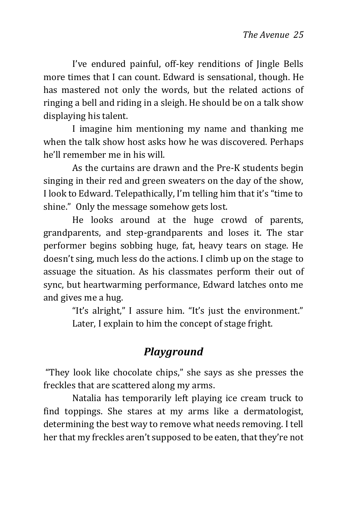I've endured painful, off-key renditions of Jingle Bells more times that I can count. Edward is sensational, though. He has mastered not only the words, but the related actions of ringing a bell and riding in a sleigh. He should be on a talk show displaying his talent.

I imagine him mentioning my name and thanking me when the talk show host asks how he was discovered. Perhaps he'll remember me in his will.

As the curtains are drawn and the Pre-K students begin singing in their red and green sweaters on the day of the show, I look to Edward. Telepathically, I'm telling him that it's "time to shine." Only the message somehow gets lost.

He looks around at the huge crowd of parents, grandparents, and step-grandparents and loses it. The star performer begins sobbing huge, fat, heavy tears on stage. He doesn't sing, much less do the actions. I climb up on the stage to assuage the situation. As his classmates perform their out of sync, but heartwarming performance, Edward latches onto me and gives me a hug.

> "It's alright," I assure him. "It's just the environment." Later, I explain to him the concept of stage fright.

### *Playground*

"They look like chocolate chips," she says as she presses the freckles that are scattered along my arms.

Natalia has temporarily left playing ice cream truck to find toppings. She stares at my arms like a dermatologist, determining the best way to remove what needs removing. I tell her that my freckles aren't supposed to be eaten, that they're not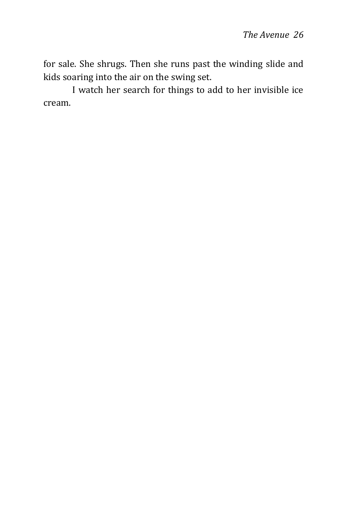for sale. She shrugs. Then she runs past the winding slide and kids soaring into the air on the swing set.

I watch her search for things to add to her invisible ice cream.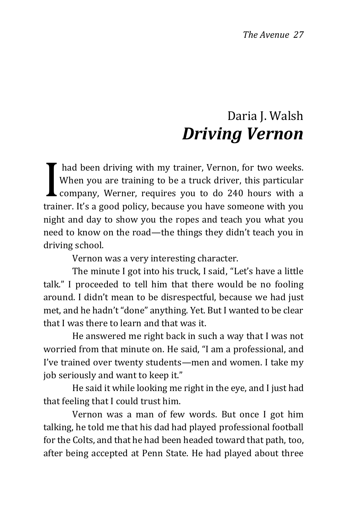### Daria I. Walsh *Driving Vernon*

<span id="page-26-0"></span>had been driving with my trainer, Vernon, for two weeks. When you are training to be a truck driver, this particular company, Werner, requires you to do 240 hours with a trainer. It's a good policy, because you have someone with you night and day to show you the ropes and teach you what you need to know on the road—the things they didn't teach you in driving school. I

Vernon was a very interesting character.

The minute I got into his truck, I said, "Let's have a little talk." I proceeded to tell him that there would be no fooling around. I didn't mean to be disrespectful, because we had just met, and he hadn't "done" anything. Yet. But I wanted to be clear that I was there to learn and that was it.

He answered me right back in such a way that I was not worried from that minute on. He said, "I am a professional, and I've trained over twenty students—men and women. I take my job seriously and want to keep it."

He said it while looking me right in the eye, and I just had that feeling that I could trust him.

Vernon was a man of few words. But once I got him talking, he told me that his dad had played professional football for the Colts, and that he had been headed toward that path, too, after being accepted at Penn State. He had played about three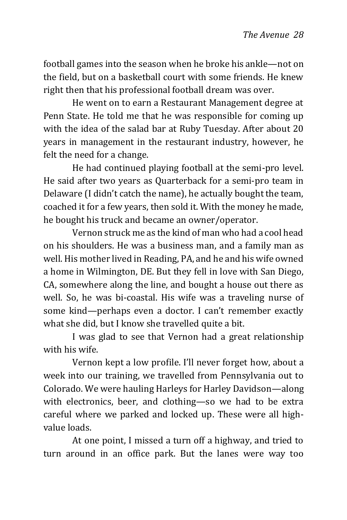football games into the season when he broke his ankle—not on the field, but on a basketball court with some friends. He knew right then that his professional football dream was over.

He went on to earn a Restaurant Management degree at Penn State. He told me that he was responsible for coming up with the idea of the salad bar at Ruby Tuesday. After about 20 years in management in the restaurant industry, however, he felt the need for a change.

He had continued playing football at the semi-pro level. He said after two years as Quarterback for a semi-pro team in Delaware (I didn't catch the name), he actually bought the team, coached it for a few years, then sold it. With the money he made, he bought his truck and became an owner/operator.

Vernon struck me as the kind of man who had a cool head on his shoulders. He was a business man, and a family man as well. His mother lived in Reading, PA, and he and his wife owned a home in Wilmington, DE. But they fell in love with San Diego, CA, somewhere along the line, and bought a house out there as well. So, he was bi-coastal. His wife was a traveling nurse of some kind—perhaps even a doctor. I can't remember exactly what she did, but I know she travelled quite a bit.

I was glad to see that Vernon had a great relationship with his wife.

Vernon kept a low profile. I'll never forget how, about a week into our training, we travelled from Pennsylvania out to Colorado. We were hauling Harleys for Harley Davidson—along with electronics, beer, and clothing—so we had to be extra careful where we parked and locked up. These were all highvalue loads.

At one point, I missed a turn off a highway, and tried to turn around in an office park. But the lanes were way too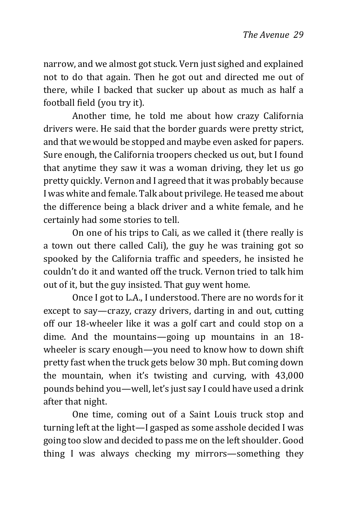narrow, and we almost got stuck. Vern just sighed and explained not to do that again. Then he got out and directed me out of there, while I backed that sucker up about as much as half a football field (you try it).

Another time, he told me about how crazy California drivers were. He said that the border guards were pretty strict, and that we would be stopped and maybe even asked for papers. Sure enough, the California troopers checked us out, but I found that anytime they saw it was a woman driving, they let us go pretty quickly. Vernon and I agreed that it was probably because I was white and female. Talk about privilege. He teased me about the difference being a black driver and a white female, and he certainly had some stories to tell.

On one of his trips to Cali, as we called it (there really is a town out there called Cali), the guy he was training got so spooked by the California traffic and speeders, he insisted he couldn't do it and wanted off the truck. Vernon tried to talk him out of it, but the guy insisted. That guy went home.

Once I got to L.A., I understood. There are no words for it except to say—crazy, crazy drivers, darting in and out, cutting off our 18-wheeler like it was a golf cart and could stop on a dime. And the mountains—going up mountains in an 18 wheeler is scary enough—you need to know how to down shift pretty fast when the truck gets below 30 mph. But coming down the mountain, when it's twisting and curving, with 43,000 pounds behind you—well, let's just say I could have used a drink after that night.

One time, coming out of a Saint Louis truck stop and turning left at the light—I gasped as some asshole decided I was going too slow and decided to pass me on the left shoulder. Good thing I was always checking my mirrors—something they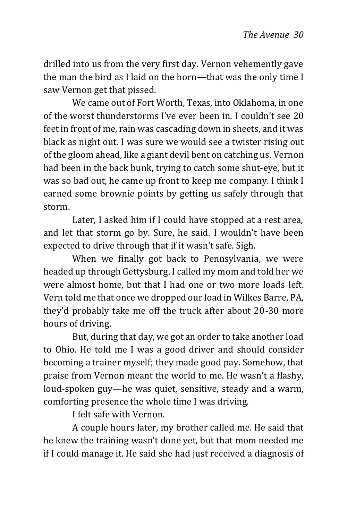drilled into us from the very first day. Vernon vehemently gave the man the bird as I laid on the horn—that was the only time I saw Vernon get that pissed.

We came out of Fort Worth, Texas, into Oklahoma, in one of the worst thunderstorms I've ever been in. I couldn't see 20 feet in front of me, rain was cascading down in sheets, and it was black as night out. I was sure we would see a twister rising out of the gloom ahead, like a giant devil bent on catching us. Vernon had been in the back bunk, trying to catch some shut-eye, but it was so bad out, he came up front to keep me company. I think I earned some brownie points by getting us safely through that storm.

Later, I asked him if I could have stopped at a rest area, and let that storm go by. Sure, he said. I wouldn't have been expected to drive through that if it wasn't safe. Sigh.

When we finally got back to Pennsylvania, we were headed up through Gettysburg. I called my mom and told her we were almost home, but that I had one or two more loads left. Vern told me that once we dropped our load in Wilkes Barre, PA, they'd probably take me off the truck after about 20-30 more hours of driving.

But, during that day, we got an order to take another load to Ohio. He told me I was a good driver and should consider becoming a trainer myself; they made good pay. Somehow, that praise from Vernon meant the world to me. He wasn't a flashy, loud-spoken guy—he was quiet, sensitive, steady and a warm, comforting presence the whole time I was driving.

I felt safe with Vernon.

A couple hours later, my brother called me. He said that he knew the training wasn't done yet, but that mom needed me if I could manage it. He said she had just received a diagnosis of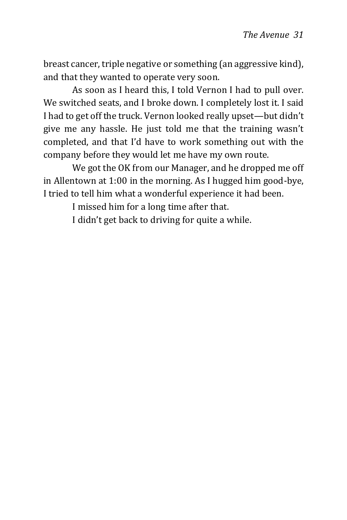breast cancer, triple negative or something (an aggressive kind), and that they wanted to operate very soon.

As soon as I heard this, I told Vernon I had to pull over. We switched seats, and I broke down. I completely lost it. I said I had to get off the truck. Vernon looked really upset—but didn't give me any hassle. He just told me that the training wasn't completed, and that I'd have to work something out with the company before they would let me have my own route.

We got the OK from our Manager, and he dropped me off in Allentown at 1:00 in the morning. As I hugged him good-bye, I tried to tell him what a wonderful experience it had been.

I missed him for a long time after that.

I didn't get back to driving for quite a while.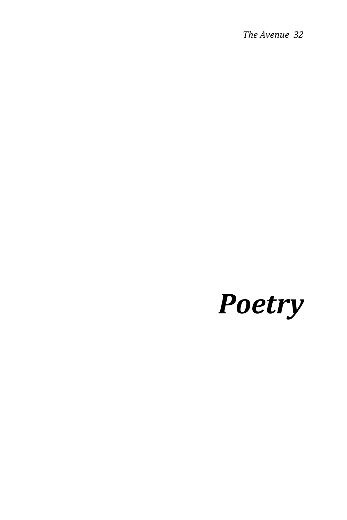*The Avenue 32*

# <span id="page-31-0"></span>*Poetry*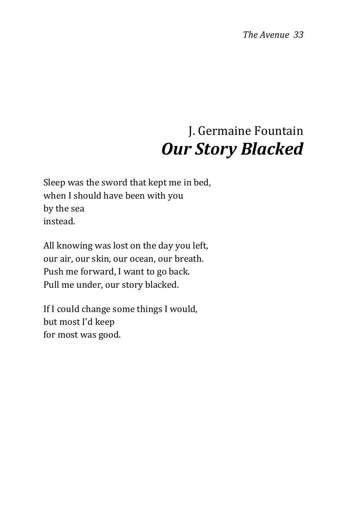## J. Germaine Fountain *Our Story Blacked*

<span id="page-32-0"></span>Sleep was the sword that kept me in bed, when I should have been with you by the sea instead.

All knowing was lost on the day you left, our air, our skin, our ocean, our breath. Push me forward, I want to go back. Pull me under, our story blacked.

If I could change some things I would, but most I'd keep for most was good.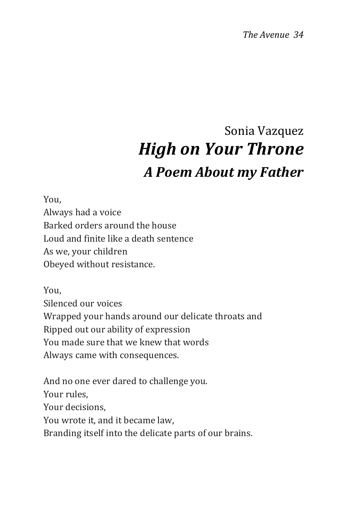*The Avenue 34*

## Sonia Vazquez *High on Your Throne A Poem About my Father*

<span id="page-33-0"></span>You, Always had a voice Barked orders around the house Loud and finite like a death sentence As we, your children Obeyed without resistance.

You, Silenced our voices Wrapped your hands around our delicate throats and Ripped out our ability of expression You made sure that we knew that words Always came with consequences.

And no one ever dared to challenge you. Your rules, Your decisions, You wrote it, and it became law, Branding itself into the delicate parts of our brains.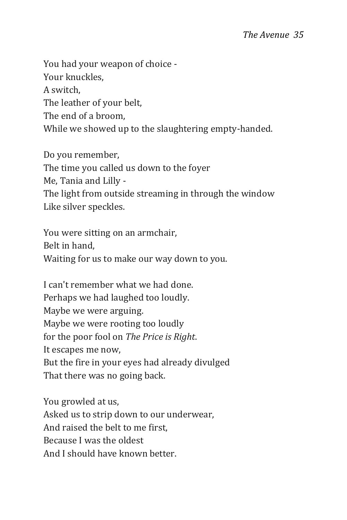You had your weapon of choice - Your knuckles, A switch, The leather of your belt, The end of a broom, While we showed up to the slaughtering empty-handed.

Do you remember, The time you called us down to the foyer Me, Tania and Lilly - The light from outside streaming in through the window Like silver speckles.

You were sitting on an armchair, Belt in hand, Waiting for us to make our way down to you.

I can't remember what we had done. Perhaps we had laughed too loudly. Maybe we were arguing. Maybe we were rooting too loudly for the poor fool on *The Price is Right*. It escapes me now, But the fire in your eyes had already divulged That there was no going back.

You growled at us, Asked us to strip down to our underwear, And raised the belt to me first, Because I was the oldest And I should have known better.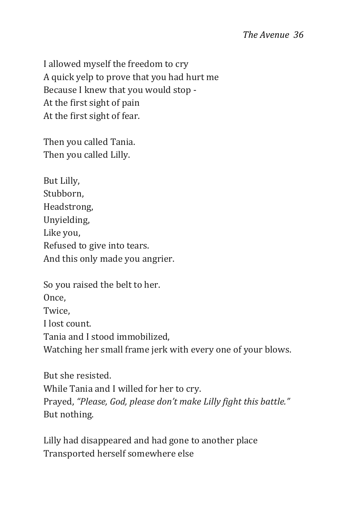I allowed myself the freedom to cry A quick yelp to prove that you had hurt me Because I knew that you would stop - At the first sight of pain At the first sight of fear.

Then you called Tania. Then you called Lilly.

But Lilly, Stubborn, Headstrong, Unyielding, Like you, Refused to give into tears. And this only made you angrier.

So you raised the belt to her. Once, Twice, I lost count. Tania and I stood immobilized, Watching her small frame jerk with every one of your blows.

But she resisted. While Tania and I willed for her to cry. Prayed, *"Please, God, please don't make Lilly fight this battle."* But nothing.

Lilly had disappeared and had gone to another place Transported herself somewhere else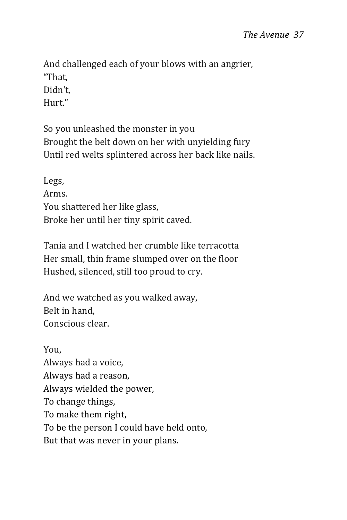And challenged each of your blows with an angrier, "That, Didn't, Hurt"

So you unleashed the monster in you Brought the belt down on her with unyielding fury Until red welts splintered across her back like nails.

Legs, Arms. You shattered her like glass, Broke her until her tiny spirit caved.

Tania and I watched her crumble like terracotta Her small, thin frame slumped over on the floor Hushed, silenced, still too proud to cry.

And we watched as you walked away, Belt in hand, Conscious clear.

You, Always had a voice, Always had a reason, Always wielded the power, To change things, To make them right, To be the person I could have held onto, But that was never in your plans.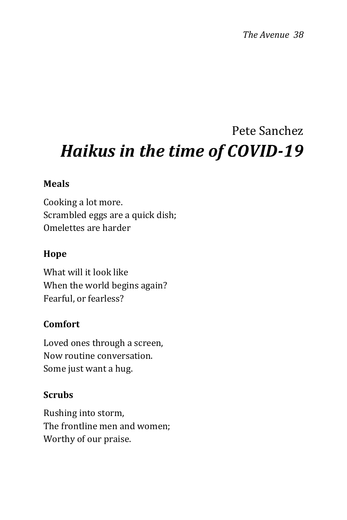## <span id="page-37-0"></span>Pete Sanchez *Haikus in the time of COVID-19*

#### **Meals**

Cooking a lot more. Scrambled eggs are a quick dish; Omelettes are harder

#### **Hope**

What will it look like When the world begins again? Fearful, or fearless?

#### **Comfort**

Loved ones through a screen, Now routine conversation. Some just want a hug.

#### **Scrubs**

Rushing into storm, The frontline men and women; Worthy of our praise.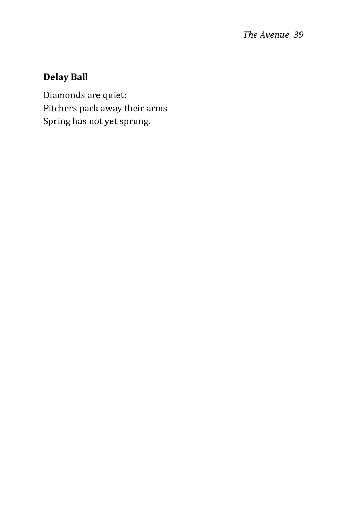#### **Delay Ball**

Diamonds are quiet; Pitchers pack away their arms Spring has not yet sprung.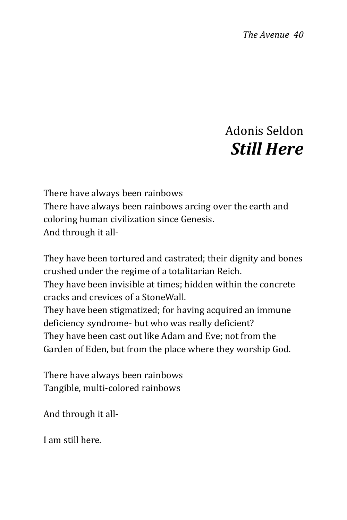### Adonis Seldon *Still Here*

<span id="page-39-0"></span>There have always been rainbows There have always been rainbows arcing over the earth and coloring human civilization since Genesis. And through it all-

They have been tortured and castrated; their dignity and bones crushed under the regime of a totalitarian Reich. They have been invisible at times; hidden within the concrete cracks and crevices of a StoneWall. They have been stigmatized; for having acquired an immune deficiency syndrome- but who was really deficient? They have been cast out like Adam and Eve; not from the Garden of Eden, but from the place where they worship God.

There have always been rainbows Tangible, multi-colored rainbows

And through it all-

I am still here.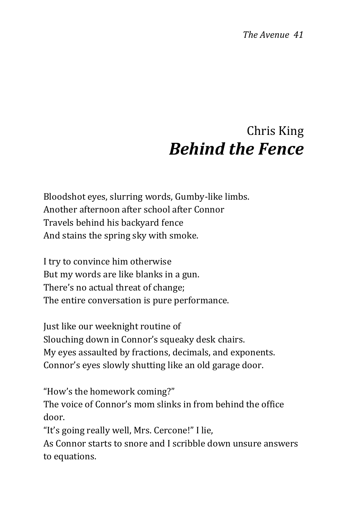### Chris King *Behind the Fence*

<span id="page-40-0"></span>Bloodshot eyes, slurring words, Gumby-like limbs. Another afternoon after school after Connor Travels behind his backyard fence And stains the spring sky with smoke.

I try to convince him otherwise But my words are like blanks in a gun. There's no actual threat of change; The entire conversation is pure performance.

Just like our weeknight routine of Slouching down in Connor's squeaky desk chairs. My eyes assaulted by fractions, decimals, and exponents. Connor's eyes slowly shutting like an old garage door.

"How's the homework coming?"

The voice of Connor's mom slinks in from behind the office door.

"It's going really well, Mrs. Cercone!" I lie,

As Connor starts to snore and I scribble down unsure answers to equations.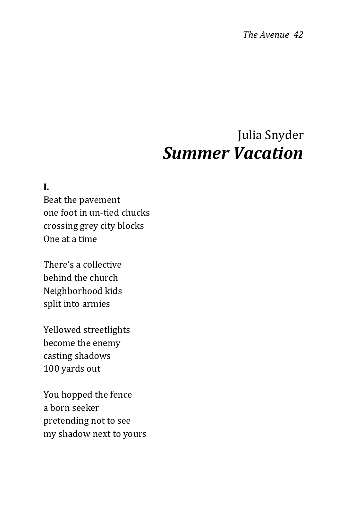*The Avenue 42*

### Julia Snyder *Summer Vacation*

#### <span id="page-41-0"></span>**I.**

Beat the pavement one foot in un-tied chucks crossing grey city blocks One at a time

There's a collective behind the church Neighborhood kids split into armies

Yellowed streetlights become the enemy casting shadows 100 yards out

You hopped the fence a born seeker pretending not to see my shadow next to yours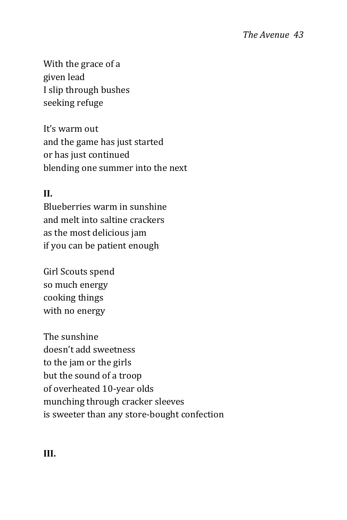With the grace of a given lead I slip through bushes seeking refuge

It's warm out and the game has just started or has just continued blending one summer into the next

#### **II.**

Blueberries warm in sunshine and melt into saltine crackers as the most delicious jam if you can be patient enough

Girl Scouts spend so much energy cooking things with no energy

The sunshine doesn't add sweetness to the jam or the girls but the sound of a troop of overheated 10-year olds munching through cracker sleeves is sweeter than any store-bought confection

**III.**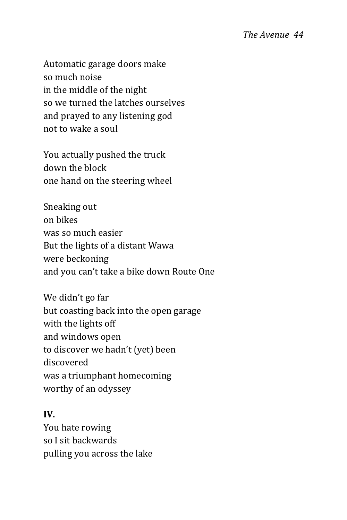Automatic garage doors make so much noise in the middle of the night so we turned the latches ourselves and prayed to any listening god not to wake a soul

You actually pushed the truck down the block one hand on the steering wheel

Sneaking out on bikes was so much easier But the lights of a distant Wawa were beckoning and you can't take a bike down Route One

We didn't go far but coasting back into the open garage with the lights off and windows open to discover we hadn't (yet) been discovered was a triumphant homecoming worthy of an odyssey

#### **IV.**

You hate rowing so I sit backwards pulling you across the lake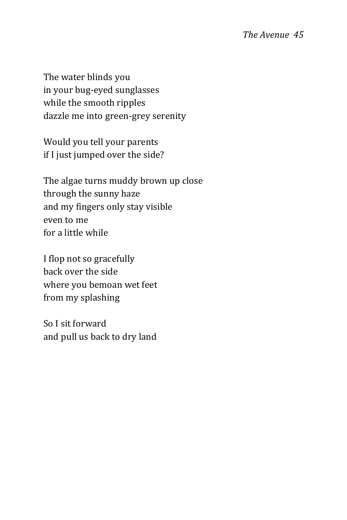The water blinds you in your bug-eyed sunglasses while the smooth ripples dazzle me into green-grey serenity

Would you tell your parents if I just jumped over the side?

The algae turns muddy brown up close through the sunny haze and my fingers only stay visible even to me for a little while

I flop not so gracefully back over the side where you bemoan wet feet from my splashing

So I sit forward and pull us back to dry land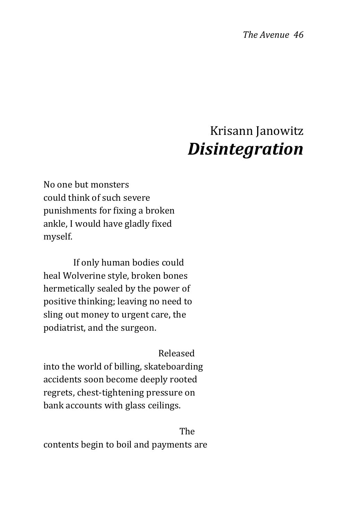### Krisann Janowitz *Disintegration*

<span id="page-45-0"></span>No one but monsters could think of such severe punishments for fixing a broken ankle, I would have gladly fixed myself.

 If only human bodies could heal Wolverine style, broken bones hermetically sealed by the power of positive thinking; leaving no need to sling out money to urgent care, the podiatrist, and the surgeon.

Released

into the world of billing, skateboarding accidents soon become deeply rooted regrets, chest-tightening pressure on bank accounts with glass ceilings.

**The Street Expansion of the Street Expansion of the Street Expansion of the Street Expansion of the Street Exp** 

contents begin to boil and payments are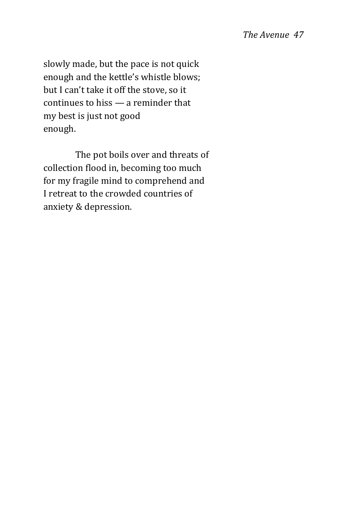#### *The Avenue 47*

slowly made, but the pace is not quick enough and the kettle's whistle blows; but I can't take it off the stove, so it continues to hiss — a reminder that my best is just not good enough.

 The pot boils over and threats of collection flood in, becoming too much for my fragile mind to comprehend and I retreat to the crowded countries of anxiety & depression.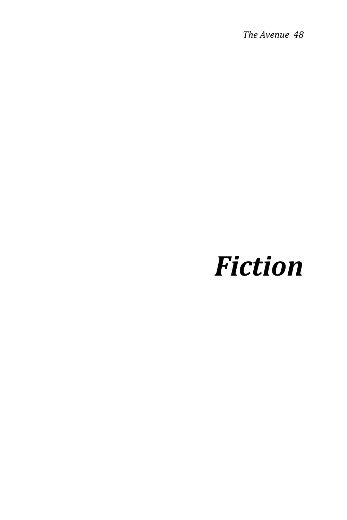*The Avenue 48*

# <span id="page-47-0"></span>*Fiction*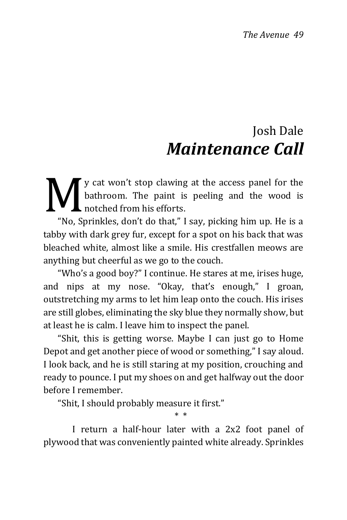### Josh Dale *Maintenance Call*

<span id="page-48-0"></span>y cat won't stop clawing at the access panel for the bathroom. The paint is peeling and the wood is notched from his efforts. M<br>Wash

"No, Sprinkles, don't do that," I say, picking him up. He is a tabby with dark grey fur, except for a spot on his back that was bleached white, almost like a smile. His crestfallen meows are anything but cheerful as we go to the couch.

"Who's a good boy?" I continue. He stares at me, irises huge, and nips at my nose. "Okay, that's enough," I groan, outstretching my arms to let him leap onto the couch. His irises are still globes, eliminating the sky blue they normally show, but at least he is calm. I leave him to inspect the panel.

"Shit, this is getting worse. Maybe I can just go to Home Depot and get another piece of wood or something," I say aloud. I look back, and he is still staring at my position, crouching and ready to pounce. I put my shoes on and get halfway out the door before I remember.

"Shit, I should probably measure it first."

I return a half-hour later with a 2x2 foot panel of plywood that was conveniently painted white already. Sprinkles

\* \*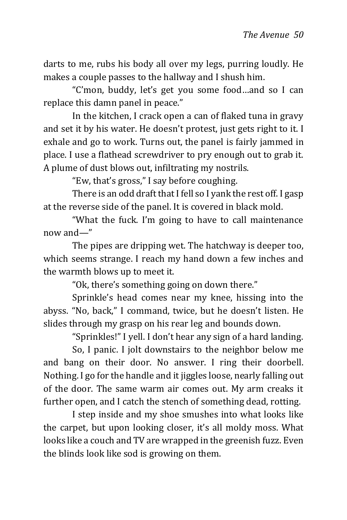darts to me, rubs his body all over my legs, purring loudly. He makes a couple passes to the hallway and I shush him.

"C'mon, buddy, let's get you some food…and so I can replace this damn panel in peace."

In the kitchen, I crack open a can of flaked tuna in gravy and set it by his water. He doesn't protest, just gets right to it. I exhale and go to work. Turns out, the panel is fairly jammed in place. I use a flathead screwdriver to pry enough out to grab it. A plume of dust blows out, infiltrating my nostrils.

"Ew, that's gross," I say before coughing.

There is an odd draft that I fell so I yank the rest off. I gasp at the reverse side of the panel. It is covered in black mold.

"What the fuck. I'm going to have to call maintenance now and—"

The pipes are dripping wet. The hatchway is deeper too, which seems strange. I reach my hand down a few inches and the warmth blows up to meet it.

"Ok, there's something going on down there."

Sprinkle's head comes near my knee, hissing into the abyss. "No, back," I command, twice, but he doesn't listen. He slides through my grasp on his rear leg and bounds down.

"Sprinkles!" I yell. I don't hear any sign of a hard landing.

So, I panic. I jolt downstairs to the neighbor below me and bang on their door. No answer. I ring their doorbell. Nothing. I go for the handle and it jiggles loose, nearly falling out of the door. The same warm air comes out. My arm creaks it further open, and I catch the stench of something dead, rotting.

I step inside and my shoe smushes into what looks like the carpet, but upon looking closer, it's all moldy moss. What looks like a couch and TV are wrapped in the greenish fuzz. Even the blinds look like sod is growing on them.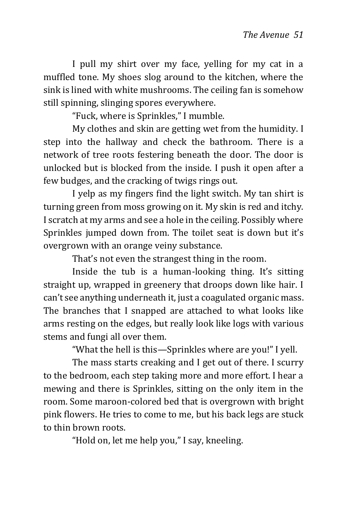I pull my shirt over my face, yelling for my cat in a muffled tone. My shoes slog around to the kitchen, where the sink is lined with white mushrooms. The ceiling fan is somehow still spinning, slinging spores everywhere.

"Fuck, where is Sprinkles," I mumble.

My clothes and skin are getting wet from the humidity. I step into the hallway and check the bathroom. There is a network of tree roots festering beneath the door. The door is unlocked but is blocked from the inside. I push it open after a few budges, and the cracking of twigs rings out.

I yelp as my fingers find the light switch. My tan shirt is turning green from moss growing on it. My skin is red and itchy. I scratch at my arms and see a hole in the ceiling. Possibly where Sprinkles jumped down from. The toilet seat is down but it's overgrown with an orange veiny substance.

That's not even the strangest thing in the room.

Inside the tub is a human-looking thing. It's sitting straight up, wrapped in greenery that droops down like hair. I can't see anything underneath it, just a coagulated organic mass. The branches that I snapped are attached to what looks like arms resting on the edges, but really look like logs with various stems and fungi all over them.

"What the hell is this—Sprinkles where are you!" I yell.

The mass starts creaking and I get out of there. I scurry to the bedroom, each step taking more and more effort. I hear a mewing and there is Sprinkles, sitting on the only item in the room. Some maroon-colored bed that is overgrown with bright pink flowers. He tries to come to me, but his back legs are stuck to thin brown roots.

"Hold on, let me help you," I say, kneeling.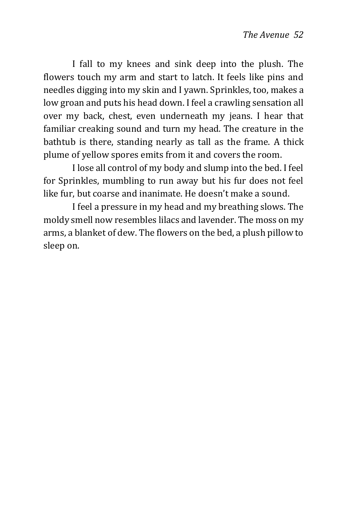I fall to my knees and sink deep into the plush. The flowers touch my arm and start to latch. It feels like pins and needles digging into my skin and I yawn. Sprinkles, too, makes a low groan and puts his head down. I feel a crawling sensation all over my back, chest, even underneath my jeans. I hear that familiar creaking sound and turn my head. The creature in the bathtub is there, standing nearly as tall as the frame. A thick plume of yellow spores emits from it and covers the room.

I lose all control of my body and slump into the bed. I feel for Sprinkles, mumbling to run away but his fur does not feel like fur, but coarse and inanimate. He doesn't make a sound.

I feel a pressure in my head and my breathing slows. The moldy smell now resembles lilacs and lavender. The moss on my arms, a blanket of dew. The flowers on the bed, a plush pillow to sleep on.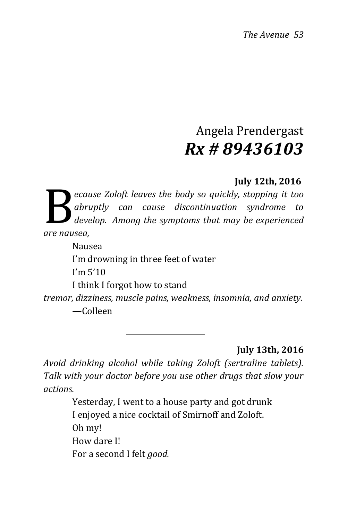### Angela Prendergast *Rx # 89436103*

#### **July 12th, 2016**

<span id="page-52-0"></span>*ecause Zoloft leaves the body so quickly, stopping it too abruptly can cause discontinuation syndrome to develop. Among the symptoms that may be experienced are nausea,* B

Nausea I'm drowning in three feet of water I'm 5'10

I think I forgot how to stand

*tremor, dizziness, muscle pains, weakness, insomnia, and anxiety.* —Colleen

 **July 13th, 2016**

*Avoid drinking alcohol while taking Zoloft (sertraline tablets). Talk with your doctor before you use other drugs that slow your actions.*

> Yesterday, I went to a house party and got drunk I enjoyed a nice cocktail of Smirnoff and Zoloft. Oh my! How dare I! For a second I felt *good.*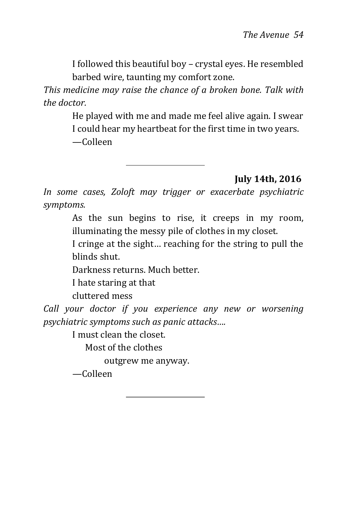I followed this beautiful boy – crystal eyes. He resembled barbed wire, taunting my comfort zone.

*This medicine may raise the chance of a broken bone. Talk with the doctor.*

> He played with me and made me feel alive again. I swear I could hear my heartbeat for the first time in two years. —Colleen

> > **July 14th, 2016**

*In some cases, Zoloft may trigger or exacerbate psychiatric symptoms.*

> As the sun begins to rise, it creeps in my room, illuminating the messy pile of clothes in my closet.

> I cringe at the sight… reaching for the string to pull the blinds shut.

Darkness returns. Much better.

I hate staring at that

cluttered mess

*Call your doctor if you experience any new or worsening psychiatric symptoms such as panic attacks….*

I must clean the closet.

Most of the clothes

outgrew me anyway.

*—*Colleen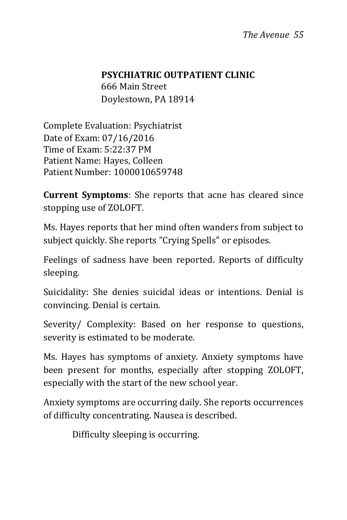#### **PSYCHIATRIC OUTPATIENT CLINIC**

666 Main Street Doylestown, PA 18914

Complete Evaluation: Psychiatrist Date of Exam: 07/16/2016 Time of Exam: 5:22:37 PM Patient Name: Hayes, Colleen Patient Number: 1000010659748

**Current Symptoms**: She reports that acne has cleared since stopping use of ZOLOFT.

Ms. Hayes reports that her mind often wanders from subject to subject quickly. She reports "Crying Spells" or episodes.

Feelings of sadness have been reported. Reports of difficulty sleeping.

Suicidality: She denies suicidal ideas or intentions. Denial is convincing. Denial is certain.

Severity/ Complexity: Based on her response to questions, severity is estimated to be moderate.

Ms. Hayes has symptoms of anxiety. Anxiety symptoms have been present for months, especially after stopping ZOLOFT, especially with the start of the new school year.

Anxiety symptoms are occurring daily. She reports occurrences of difficulty concentrating. Nausea is described.

Difficulty sleeping is occurring.